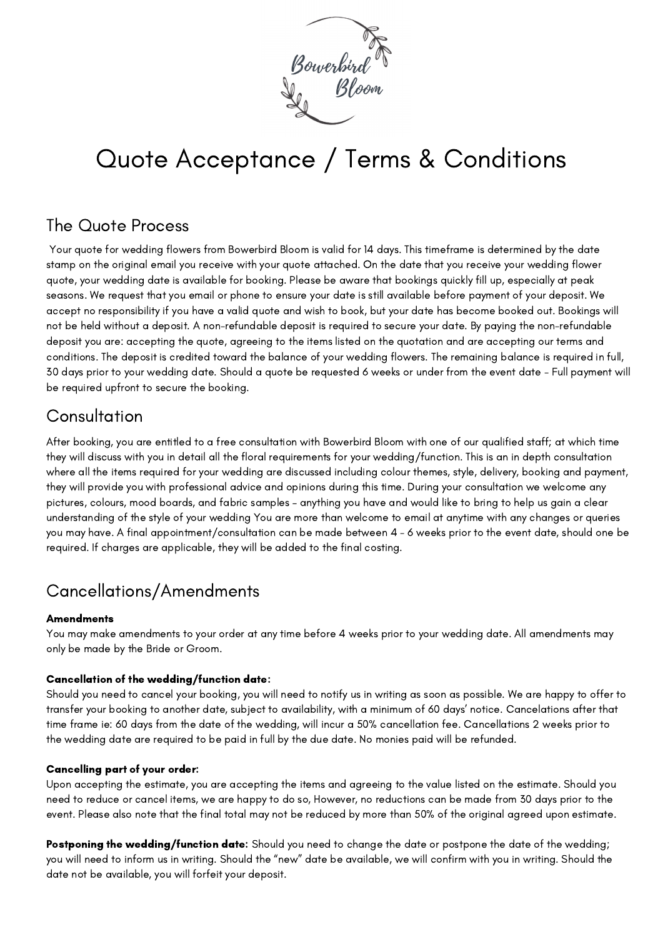

# Quote Acceptance / Terms & Conditions

#### The Quote Process

Your quote for wedding flowers from Bowerbird Bloom is valid for 14 days. This timeframe is determined by the date stamp on the original email you receive with your quote attached. On the date that you receive your wedding flower quote, your wedding date is available for booking. Please be aware that bookings quickly fill up, especially at peak seasons. We request that you email or phone to ensure your date is still available before payment of your deposit. We accept no responsibility if you have a valid quote and wish to book, but your date has become booked out. Bookings will not be held without a deposit. A non-refundable deposit is required to secure your date. By paying the non-refundable deposit you are: accepting the quote, agreeing to the items listed on the quotation and are accepting our terms and conditions. The deposit is credited toward the balance of your wedding flowers. The remaining balance is required in full, 30 days prior to your wedding date. Should a quote be requested 6 weeks or under from the event date - Full payment will be required upfront to secure the booking.

## **Consultation**

After booking, you are entitled to a free consultation with Bowerbird Bloom with one of our qualified staff; at which time they will discuss with you in detail all the floral requirements for your wedding/function. This is an in depth consultation where all the items required for your wedding are discussed including colour themes, style, delivery, booking and payment, they will provide you with professional advice and opinions during this time. During your consultation we welcome any pictures, colours, mood boards, and fabric samples – anything you have and would like to bring to help us gain a clear understanding of the style of your wedding You are more than welcome to email at anytime with any changes or queries you may have. A final appointment/consultation can be made between 4 - 6 weeks prior to the event date, should one be required. If charges are applicable, they will be added to the final costing.

# Cancellations/Amendments

#### **Amendments**

You may make amendments to your order at any time before 4 weeks prior to your wedding date. All amendments may only be made by the Bride or Groom.

#### Cancellation of the wedding/function date:

Should you need to cancel your booking, you will need to notify us in writing as soon as possible. We are happy to offer to transfer your booking to another date, subject to availability, with a minimum of 60 days' notice. Cancelations after that time frame ie: 60 days from the date of the wedding, will incur a 50% cancellation fee. Cancellations 2 weeks prior to the wedding date are required to be paid in full by the due date. No monies paid will be refunded.

#### Cancelling part of your order:

Upon accepting the estimate, you are accepting the items and agreeing to the value listed on the estimate. Should you need to reduce or cancel items, we are happy to do so, However, no reductions can be made from 30 days prior to the event. Please also note that the final total may not be reduced by more than 50% of the original agreed upon estimate.

Postponing the wedding/function date: Should you need to change the date or postpone the date of the wedding; you will need to inform us in writing. Should the "new" date be available, we will confirm with you in writing. Should the date not be available, you will forfeit your deposit.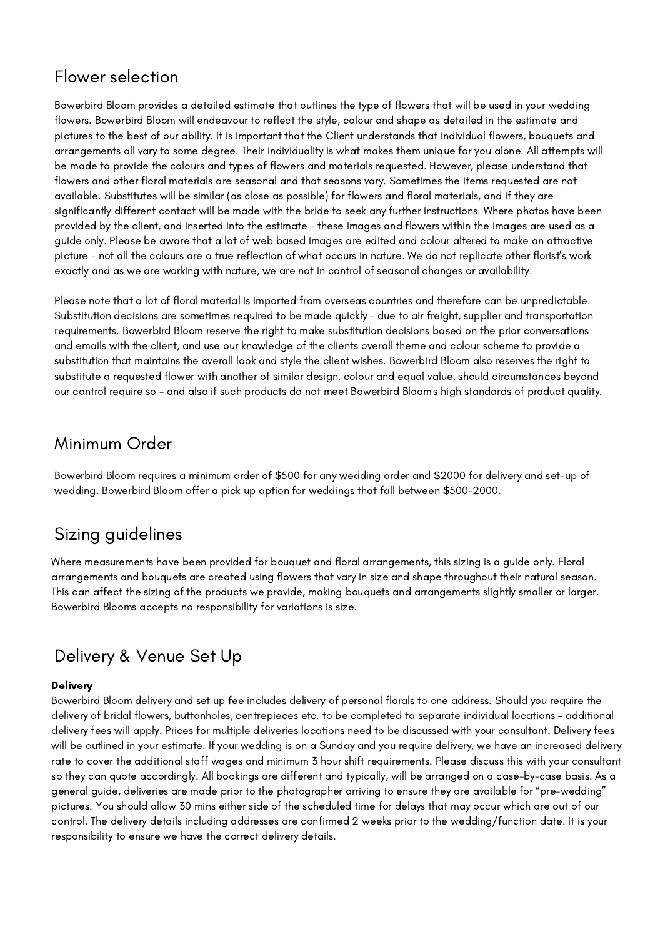### Flower selection

Bowerbird Bloom provides a detailed estimate that outlines the type of flowers that will be used in your wedding flowers. Bowerbird Bloom will endeavour to reflect the style, colour and shape as detailed in the estimate and pictures to the best of our ability. It is important that the Client understands that individual flowers, bouquets and arrangements all vary to some degree. Their individuality is what makes them unique for you alone. All attempts will be made to provide the colours and types of flowers and materials requested. However, please understand that flowers and other floral materials are seasonal and that seasons vary. Sometimes the items requested are not available. Substitutes will be similar (as close as possible) for flowers and floral materials, and if they are significantly different contact will be made with the bride to seek any further instructions. Where photos have been provided by the client, and inserted into the estimate – these images and flowers within the images are used as a guide only. Please be aware that a lot of web based images are edited and colour altered to make an attractive picture – not all the colours are a true reflection of what occurs in nature. We do not replicate other florist's work exactly and as we are working with nature, we are not in control of seasonal changes or availability.

Please note that a lot of floral material is imported from overseas countries and therefore can be unpredictable. Substitution decisions are sometimes required to be made quickly – due to air freight, supplier and transportation requirements. Bowerbird Bloom reserve the right to make substitution decisions based on the prior conversations and emails with the client, and use our knowledge of the clients overall theme and colour scheme to provide a substitution that maintains the overall look and style the client wishes. Bowerbird Bloom also reserves the right to substitute a requested flower with another of similar design, colour and equal value, should circumstances beyond our control require so - and also if such products do not meet Bowerbird Bloom's high standards of product quality.

#### Minimum Order

Bowerbird Bloom requires a minimum order of \$500 for any wedding order and \$2000 for delivery and set-up of wedding. Bowerbird Bloom offer a pick up option for weddings that fall between \$500-2000.

## Sizing guidelines

Where measurements have been provided for bouquet and floral arrangements, this sizing is a guide only. Floral arrangements and bouquets are created using flowers that vary in size and shape throughout their natural season. This can affect the sizing of the products we provide, making bouquets and arrangements slightly smaller or larger. Bowerbird Blooms accepts no responsibility for variations is size.

## Delivery & Venue Set Up

#### **Delivery**

Bowerbird Bloom delivery and set up fee includes delivery of personal florals to one address. Should you require the delivery of bridal flowers, buttonholes, centrepieces etc. to be completed to separate individual locations – additional delivery fees will apply. Prices for multiple deliveries locations need to be discussed with your consultant. Delivery fees will be outlined in your estimate. If your wedding is on a Sunday and you require delivery, we have an increased delivery rate to cover the additional staff wages and minimum 3 hour shift requirements. Please discuss this with your consultant so they can quote accordingly. All bookings are different and typically, will be arranged on a case-by-case basis. As a general guide, deliveries are made prior to the photographer arriving to ensure they are available for "pre-wedding" pictures. You should allow 30 mins either side of the scheduled time for delays that may occur which are out of our control. The delivery details including addresses are confirmed 2 weeks prior to the wedding/function date. It is your responsibility to ensure we have the correct delivery details.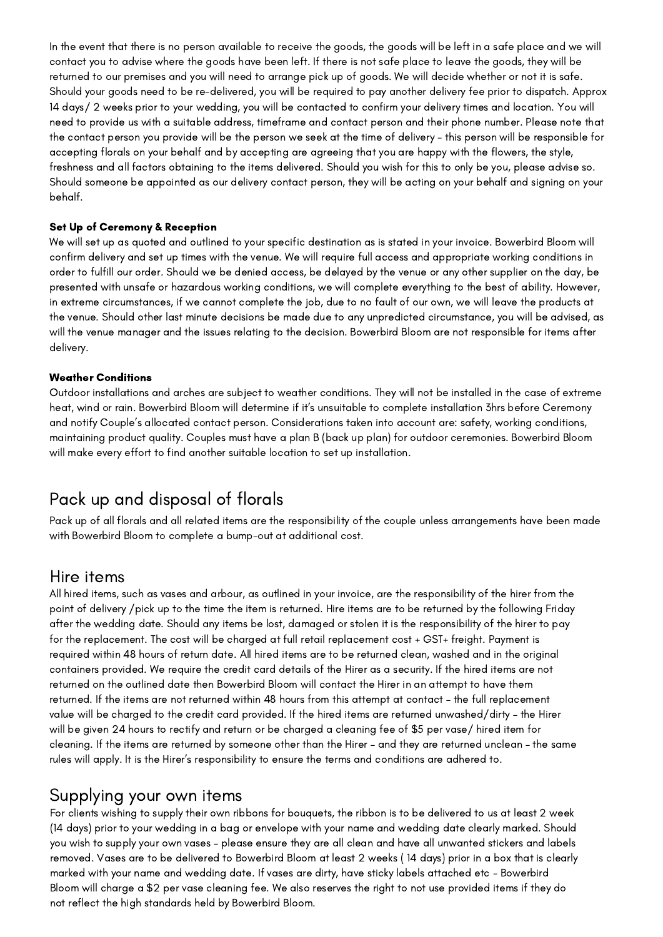In the event that there is no person available to receive the goods, the goods will be left in a safe place and we will contact you to advise where the goods have been left. If there is not safe place to leave the goods, they will be returned to our premises and you will need to arrange pick up of goods. We will decide whether or not it is safe. Should your goods need to be re-delivered, you will be required to pay another delivery fee prior to dispatch. Approx 14 days/ 2 weeks prior to your wedding, you will be contacted to confirm your delivery times and location. You will need to provide us with a suitable address, timeframe and contact person and their phone number. Please note that the contact person you provide will be the person we seek at the time of delivery - this person will be responsible for accepting florals on your behalf and by accepting are agreeing that you are happy with the flowers, the style, freshness and all factors obtaining to the items delivered. Should you wish for this to only be you, please advise so. Should someone be appointed as our delivery contact person, they will be acting on your behalf and signing on your behalf.

#### Set Up of Ceremony & Reception

We will set up as quoted and outlined to your specific destination as is stated in your invoice. Bowerbird Bloom will confirm delivery and set up times with the venue. We will require full access and appropriate working conditions in order to fulfill our order. Should we be denied access, be delayed by the venue or any other supplier on the day, be presented with unsafe or hazardous working conditions, we will complete everything to the best of ability. However, in extreme circumstances, if we cannot complete the job, due to no fault of our own, we will leave the products at the venue. Should other last minute decisions be made due to any unpredicted circumstance, you will be advised, as will the venue manager and the issues relating to the decision. Bowerbird Bloom are not responsible for items after delivery.

#### Weather Conditions

Outdoor installations and arches are subject to weather conditions. They will not be installed in the case of extreme heat, wind or rain. Bowerbird Bloom will determine if it's unsuitable to complete installation 3hrs before Ceremony and notify Couple's allocated contact person. Considerations taken into account are: safety, working conditions, maintaining product quality. Couples must have a plan B (back up plan) for outdoor ceremonies. Bowerbird Bloom will make every effort to find another suitable location to set up installation.

#### Pack up and disposal of florals

Pack up of all florals and all related items are the responsibility of the couple unless arrangements have been made with Bowerbird Bloom to complete a bump-out at additional cost.

#### Hire items

All hired items, such as vases and arbour, as outlined in your invoice, are the responsibility of the hirer from the point of delivery /pick up to the time the item is returned. Hire items are to be returned by the following Friday after the wedding date. Should any items be lost, damaged or stolen it is the responsibility of the hirer to pay for the replacement. The cost will be charged at full retail replacement cost + GST+ freight. Payment is required within 48 hours of return date. All hired items are to be returned clean, washed and in the original containers provided. We require the credit card details of the Hirer as a security. If the hired items are not returned on the outlined date then Bowerbird Bloom will contact the Hirer in an attempt to have them returned. If the items are not returned within 48 hours from this attempt at contact – the full replacement value will be charged to the credit card provided. If the hired items are returned unwashed/dirty – the Hirer will be given 24 hours to rectify and return or be charged a cleaning fee of \$5 per vase/ hired item for cleaning. If the items are returned by someone other than the Hirer – and they are returned unclean – the same rules will apply. It is the Hirer's responsibility to ensure the terms and conditions are adhered to.

#### Supplying your own items

For clients wishing to supply their own ribbons for bouquets, the ribbon is to be delivered to us at least 2 week (14 days) prior to your wedding in a bag or envelope with your name and wedding date clearly marked. Should you wish to supply your own vases – please ensure they are all clean and have all unwanted stickers and labels removed. Vases are to be delivered to Bowerbird Bloom at least 2 weeks ( 14 days) prior in a box that is clearly marked with your name and wedding date. If vases are dirty, have sticky labels attached etc - Bowerbird Bloom will charge a \$2 per vase cleaning fee. We also reserves the right to not use provided items if they do not reflect the high standards held by Bowerbird Bloom.